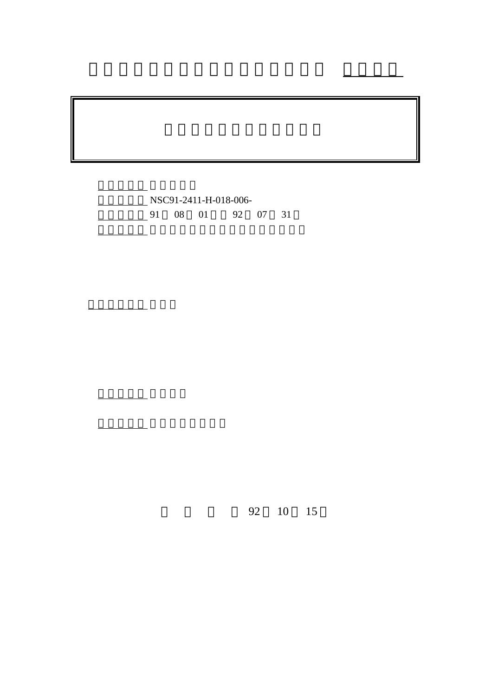NSC91-2411-H-018-006-1 08 01 92 07 31

行政院國家科學委員會專題研究計畫成果報告

 $92 \t 10 \t 15$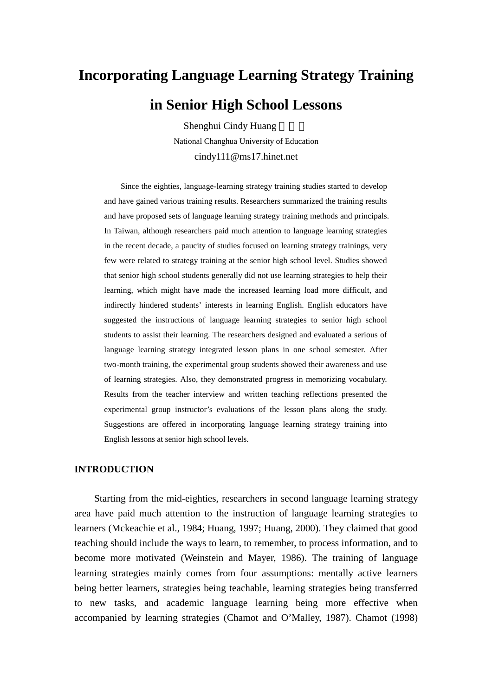# **Incorporating Language Learning Strategy Training in Senior High School Lessons**

Shenghui Cindy Huang

National Changhua University of Education cindy111@ms17.hinet.net

Since the eighties, language-learning strategy training studies started to develop and have gained various training results. Researchers summarized the training results and have proposed sets of language learning strategy training methods and principals. In Taiwan, although researchers paid much attention to language learning strategies in the recent decade, a paucity of studies focused on learning strategy trainings, very few were related to strategy training at the senior high school level. Studies showed that senior high school students generally did not use learning strategies to help their learning, which might have made the increased learning load more difficult, and indirectly hindered students' interests in learning English. English educators have suggested the instructions of language learning strategies to senior high school students to assist their learning. The researchers designed and evaluated a serious of language learning strategy integrated lesson plans in one school semester. After two-month training, the experimental group students showed their awareness and use of learning strategies. Also, they demonstrated progress in memorizing vocabulary. Results from the teacher interview and written teaching reflections presented the experimental group instructor's evaluations of the lesson plans along the study. Suggestions are offered in incorporating language learning strategy training into English lessons at senior high school levels.

#### **INTRODUCTION**

 Starting from the mid-eighties, researchers in second language learning strategy area have paid much attention to the instruction of language learning strategies to learners (Mckeachie et al., 1984; Huang, 1997; Huang, 2000). They claimed that good teaching should include the ways to learn, to remember, to process information, and to become more motivated (Weinstein and Mayer, 1986). The training of language learning strategies mainly comes from four assumptions: mentally active learners being better learners, strategies being teachable, learning strategies being transferred to new tasks, and academic language learning being more effective when accompanied by learning strategies (Chamot and O'Malley, 1987). Chamot (1998)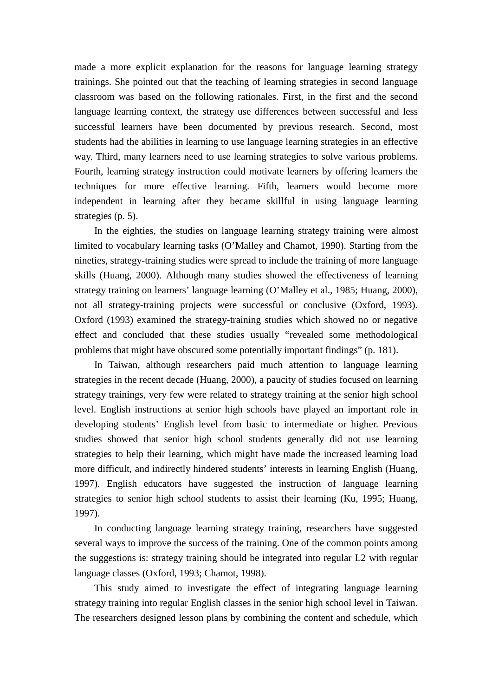made a more explicit explanation for the reasons for language learning strategy trainings. She pointed out that the teaching of learning strategies in second language classroom was based on the following rationales. First, in the first and the second language learning context, the strategy use differences between successful and less successful learners have been documented by previous research. Second, most students had the abilities in learning to use language learning strategies in an effective way. Third, many learners need to use learning strategies to solve various problems. Fourth, learning strategy instruction could motivate learners by offering learners the techniques for more effective learning. Fifth, learners would become more independent in learning after they became skillful in using language learning strategies (p. 5).

 In the eighties, the studies on language learning strategy training were almost limited to vocabulary learning tasks (O'Malley and Chamot, 1990). Starting from the nineties, strategy-training studies were spread to include the training of more language skills (Huang, 2000). Although many studies showed the effectiveness of learning strategy training on learners' language learning (O'Malley et al., 1985; Huang, 2000), not all strategy-training projects were successful or conclusive (Oxford, 1993). Oxford (1993) examined the strategy-training studies which showed no or negative effect and concluded that these studies usually "revealed some methodological problems that might have obscured some potentially important findings" (p. 181).

In Taiwan, although researchers paid much attention to language learning strategies in the recent decade (Huang, 2000), a paucity of studies focused on learning strategy trainings, very few were related to strategy training at the senior high school level. English instructions at senior high schools have played an important role in developing students' English level from basic to intermediate or higher. Previous studies showed that senior high school students generally did not use learning strategies to help their learning, which might have made the increased learning load more difficult, and indirectly hindered students' interests in learning English (Huang, 1997). English educators have suggested the instruction of language learning strategies to senior high school students to assist their learning (Ku, 1995; Huang, 1997).

In conducting language learning strategy training, researchers have suggested several ways to improve the success of the training. One of the common points among the suggestions is: strategy training should be integrated into regular L2 with regular language classes (Oxford, 1993; Chamot, 1998).

This study aimed to investigate the effect of integrating language learning strategy training into regular English classes in the senior high school level in Taiwan. The researchers designed lesson plans by combining the content and schedule, which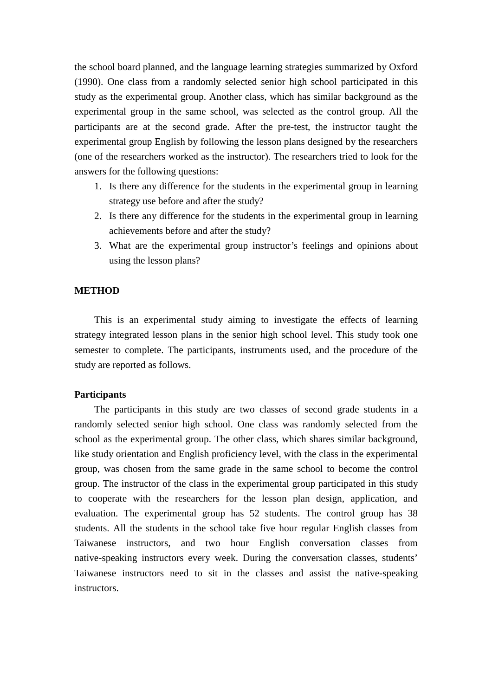the school board planned, and the language learning strategies summarized by Oxford (1990). One class from a randomly selected senior high school participated in this study as the experimental group. Another class, which has similar background as the experimental group in the same school, was selected as the control group. All the participants are at the second grade. After the pre-test, the instructor taught the experimental group English by following the lesson plans designed by the researchers (one of the researchers worked as the instructor). The researchers tried to look for the answers for the following questions:

- 1. Is there any difference for the students in the experimental group in learning strategy use before and after the study?
- 2. Is there any difference for the students in the experimental group in learning achievements before and after the study?
- 3. What are the experimental group instructor's feelings and opinions about using the lesson plans?

#### **METHOD**

This is an experimental study aiming to investigate the effects of learning strategy integrated lesson plans in the senior high school level. This study took one semester to complete. The participants, instruments used, and the procedure of the study are reported as follows.

## **Participants**

 The participants in this study are two classes of second grade students in a randomly selected senior high school. One class was randomly selected from the school as the experimental group. The other class, which shares similar background, like study orientation and English proficiency level, with the class in the experimental group, was chosen from the same grade in the same school to become the control group. The instructor of the class in the experimental group participated in this study to cooperate with the researchers for the lesson plan design, application, and evaluation. The experimental group has 52 students. The control group has 38 students. All the students in the school take five hour regular English classes from Taiwanese instructors, and two hour English conversation classes from native-speaking instructors every week. During the conversation classes, students' Taiwanese instructors need to sit in the classes and assist the native-speaking instructors.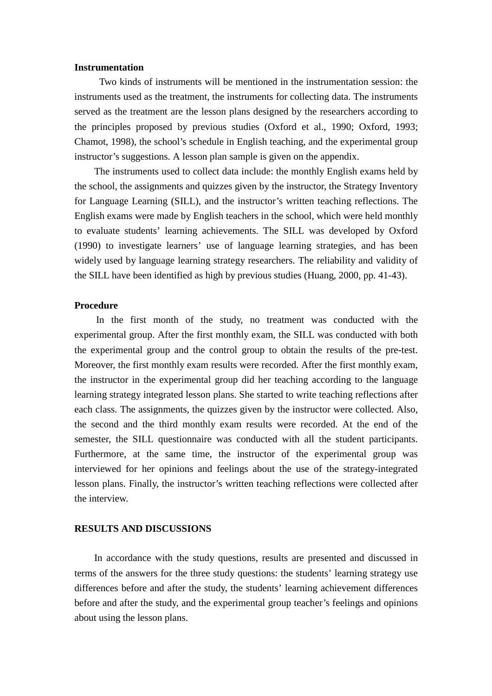#### **Instrumentation**

 Two kinds of instruments will be mentioned in the instrumentation session: the instruments used as the treatment, the instruments for collecting data. The instruments served as the treatment are the lesson plans designed by the researchers according to the principles proposed by previous studies (Oxford et al., 1990; Oxford, 1993; Chamot, 1998), the school's schedule in English teaching, and the experimental group instructor's suggestions. A lesson plan sample is given on the appendix.

 The instruments used to collect data include: the monthly English exams held by the school, the assignments and quizzes given by the instructor, the Strategy Inventory for Language Learning (SILL), and the instructor's written teaching reflections. The English exams were made by English teachers in the school, which were held monthly to evaluate students' learning achievements. The SILL was developed by Oxford (1990) to investigate learners' use of language learning strategies, and has been widely used by language learning strategy researchers. The reliability and validity of the SILL have been identified as high by previous studies (Huang, 2000, pp. 41-43).

## **Procedure**

In the first month of the study, no treatment was conducted with the experimental group. After the first monthly exam, the SILL was conducted with both the experimental group and the control group to obtain the results of the pre-test. Moreover, the first monthly exam results were recorded. After the first monthly exam, the instructor in the experimental group did her teaching according to the language learning strategy integrated lesson plans. She started to write teaching reflections after each class. The assignments, the quizzes given by the instructor were collected. Also, the second and the third monthly exam results were recorded. At the end of the semester, the SILL questionnaire was conducted with all the student participants. Furthermore, at the same time, the instructor of the experimental group was interviewed for her opinions and feelings about the use of the strategy-integrated lesson plans. Finally, the instructor's written teaching reflections were collected after the interview.

## **RESULTS AND DISCUSSIONS**

In accordance with the study questions, results are presented and discussed in terms of the answers for the three study questions: the students' learning strategy use differences before and after the study, the students' learning achievement differences before and after the study, and the experimental group teacher's feelings and opinions about using the lesson plans.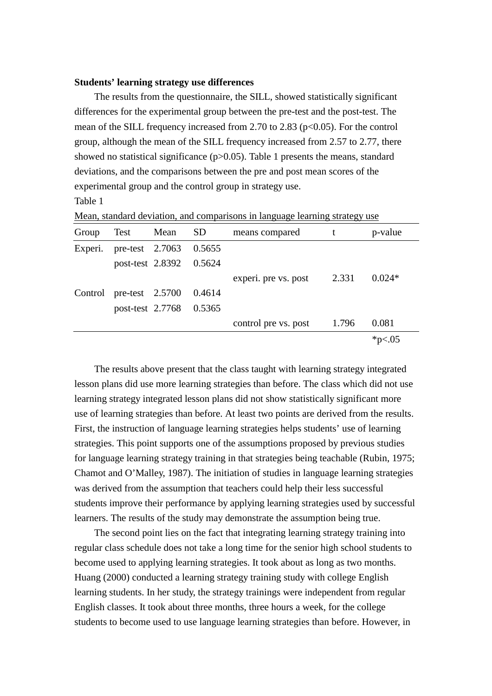#### **Students' learning strategy use differences**

 The results from the questionnaire, the SILL, showed statistically significant differences for the experimental group between the pre-test and the post-test. The mean of the SILL frequency increased from 2.70 to 2.83 ( $p<0.05$ ). For the control group, although the mean of the SILL frequency increased from 2.57 to 2.77, there showed no statistical significance (p>0.05). Table 1 presents the means, standard deviations, and the comparisons between the pre and post mean scores of the experimental group and the control group in strategy use.

Table 1

| Group   | Test               | Mean                    | SD <sub>-</sub> | means compared       |       | p-value   |
|---------|--------------------|-------------------------|-----------------|----------------------|-------|-----------|
| Experi. |                    | pre-test 2.7063 0.5655  |                 |                      |       |           |
|         |                    | post-test 2.8392 0.5624 |                 |                      |       |           |
|         |                    |                         |                 | experi. pre vs. post | 2.331 | $0.024*$  |
| Control | pre-test $2.5700$  |                         | 0.4614          |                      |       |           |
|         | post-test $2.7768$ |                         | 0.5365          |                      |       |           |
|         |                    |                         |                 | control pre vs. post | 1.796 | 0.081     |
|         |                    |                         |                 |                      |       | * $p<.05$ |

Mean, standard deviation, and comparisons in language learning strategy use

 The results above present that the class taught with learning strategy integrated lesson plans did use more learning strategies than before. The class which did not use learning strategy integrated lesson plans did not show statistically significant more use of learning strategies than before. At least two points are derived from the results. First, the instruction of language learning strategies helps students' use of learning strategies. This point supports one of the assumptions proposed by previous studies for language learning strategy training in that strategies being teachable (Rubin, 1975; Chamot and O'Malley, 1987). The initiation of studies in language learning strategies was derived from the assumption that teachers could help their less successful students improve their performance by applying learning strategies used by successful learners. The results of the study may demonstrate the assumption being true.

The second point lies on the fact that integrating learning strategy training into regular class schedule does not take a long time for the senior high school students to become used to applying learning strategies. It took about as long as two months. Huang (2000) conducted a learning strategy training study with college English learning students. In her study, the strategy trainings were independent from regular English classes. It took about three months, three hours a week, for the college students to become used to use language learning strategies than before. However, in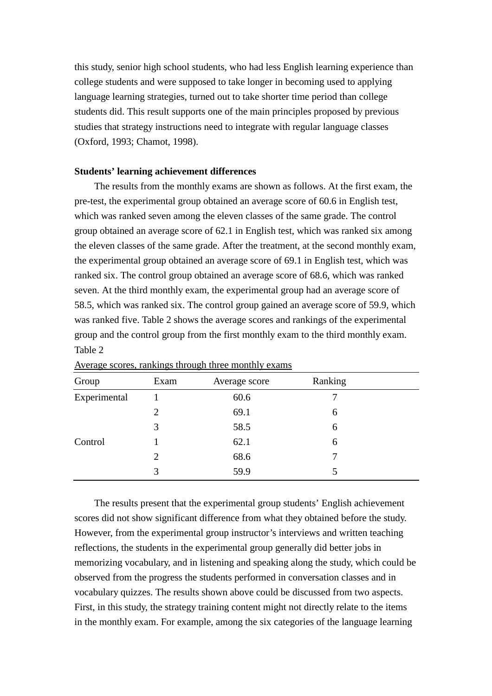this study, senior high school students, who had less English learning experience than college students and were supposed to take longer in becoming used to applying language learning strategies, turned out to take shorter time period than college students did. This result supports one of the main principles proposed by previous studies that strategy instructions need to integrate with regular language classes (Oxford, 1993; Chamot, 1998).

#### **Students' learning achievement differences**

 The results from the monthly exams are shown as follows. At the first exam, the pre-test, the experimental group obtained an average score of 60.6 in English test, which was ranked seven among the eleven classes of the same grade. The control group obtained an average score of 62.1 in English test, which was ranked six among the eleven classes of the same grade. After the treatment, at the second monthly exam, the experimental group obtained an average score of 69.1 in English test, which was ranked six. The control group obtained an average score of 68.6, which was ranked seven. At the third monthly exam, the experimental group had an average score of 58.5, which was ranked six. The control group gained an average score of 59.9, which was ranked five. Table 2 shows the average scores and rankings of the experimental group and the control group from the first monthly exam to the third monthly exam. Table 2

| Group        | Exam                        | Average score | Ranking |  |
|--------------|-----------------------------|---------------|---------|--|
| Experimental |                             | 60.6          |         |  |
|              | $\mathcal{D}_{\mathcal{L}}$ | 69.1          | 6       |  |
|              | 3                           | 58.5          | 6       |  |
| Control      |                             | 62.1          | 6       |  |
|              | 2                           | 68.6          |         |  |
|              | 3                           | 59.9          |         |  |

| Average scores, rankings through three monthly exams |  |  |  |
|------------------------------------------------------|--|--|--|
|                                                      |  |  |  |

 The results present that the experimental group students' English achievement scores did not show significant difference from what they obtained before the study. However, from the experimental group instructor's interviews and written teaching reflections, the students in the experimental group generally did better jobs in memorizing vocabulary, and in listening and speaking along the study, which could be observed from the progress the students performed in conversation classes and in vocabulary quizzes. The results shown above could be discussed from two aspects. First, in this study, the strategy training content might not directly relate to the items in the monthly exam. For example, among the six categories of the language learning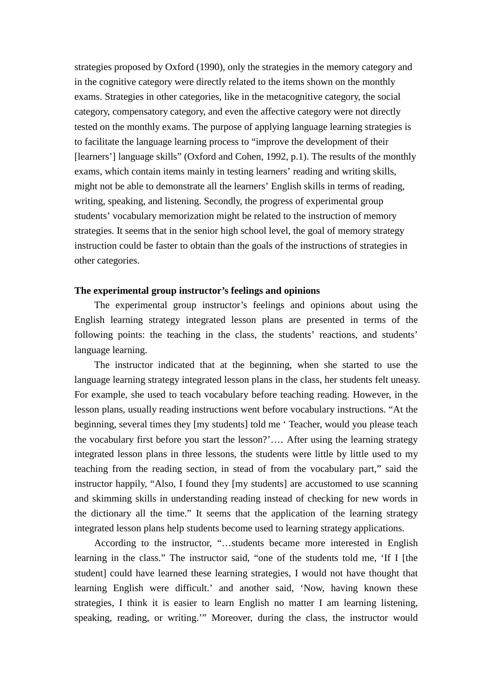strategies proposed by Oxford (1990), only the strategies in the memory category and in the cognitive category were directly related to the items shown on the monthly exams. Strategies in other categories, like in the metacognitive category, the social category, compensatory category, and even the affective category were not directly tested on the monthly exams. The purpose of applying language learning strategies is to facilitate the language learning process to "improve the development of their [learners'] language skills" (Oxford and Cohen, 1992, p.1). The results of the monthly exams, which contain items mainly in testing learners' reading and writing skills, might not be able to demonstrate all the learners' English skills in terms of reading, writing, speaking, and listening. Secondly, the progress of experimental group students' vocabulary memorization might be related to the instruction of memory strategies. It seems that in the senior high school level, the goal of memory strategy instruction could be faster to obtain than the goals of the instructions of strategies in other categories.

#### **The experimental group instructor's feelings and opinions**

 The experimental group instructor's feelings and opinions about using the English learning strategy integrated lesson plans are presented in terms of the following points: the teaching in the class, the students' reactions, and students' language learning.

 The instructor indicated that at the beginning, when she started to use the language learning strategy integrated lesson plans in the class, her students felt uneasy. For example, she used to teach vocabulary before teaching reading. However, in the lesson plans, usually reading instructions went before vocabulary instructions. "At the beginning, several times they [my students] told me ' Teacher, would you please teach the vocabulary first before you start the lesson?'…. After using the learning strategy integrated lesson plans in three lessons, the students were little by little used to my teaching from the reading section, in stead of from the vocabulary part," said the instructor happily, "Also, I found they [my students] are accustomed to use scanning and skimming skills in understanding reading instead of checking for new words in the dictionary all the time." It seems that the application of the learning strategy integrated lesson plans help students become used to learning strategy applications.

 According to the instructor, "…students became more interested in English learning in the class." The instructor said, "one of the students told me, 'If I [the student] could have learned these learning strategies, I would not have thought that learning English were difficult.' and another said, 'Now, having known these strategies, I think it is easier to learn English no matter I am learning listening, speaking, reading, or writing.'" Moreover, during the class, the instructor would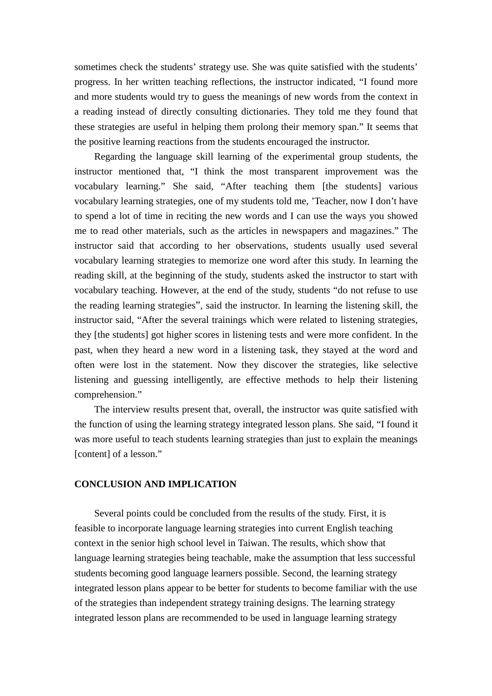sometimes check the students' strategy use. She was quite satisfied with the students' progress. In her written teaching reflections, the instructor indicated, "I found more and more students would try to guess the meanings of new words from the context in a reading instead of directly consulting dictionaries. They told me they found that these strategies are useful in helping them prolong their memory span." It seems that the positive learning reactions from the students encouraged the instructor.

 Regarding the language skill learning of the experimental group students, the instructor mentioned that, "I think the most transparent improvement was the vocabulary learning." She said, "After teaching them [the students] various vocabulary learning strategies, one of my students told me, 'Teacher, now I don't have to spend a lot of time in reciting the new words and I can use the ways you showed me to read other materials, such as the articles in newspapers and magazines." The instructor said that according to her observations, students usually used several vocabulary learning strategies to memorize one word after this study. In learning the reading skill, at the beginning of the study, students asked the instructor to start with vocabulary teaching. However, at the end of the study, students "do not refuse to use the reading learning strategies", said the instructor. In learning the listening skill, the instructor said, "After the several trainings which were related to listening strategies, they [the students] got higher scores in listening tests and were more confident. In the past, when they heard a new word in a listening task, they stayed at the word and often were lost in the statement. Now they discover the strategies, like selective listening and guessing intelligently, are effective methods to help their listening comprehension."

 The interview results present that, overall, the instructor was quite satisfied with the function of using the learning strategy integrated lesson plans. She said, "I found it was more useful to teach students learning strategies than just to explain the meanings [content] of a lesson."

## **CONCLUSION AND IMPLICATION**

Several points could be concluded from the results of the study. First, it is feasible to incorporate language learning strategies into current English teaching context in the senior high school level in Taiwan. The results, which show that language learning strategies being teachable, make the assumption that less successful students becoming good language learners possible. Second, the learning strategy integrated lesson plans appear to be better for students to become familiar with the use of the strategies than independent strategy training designs. The learning strategy integrated lesson plans are recommended to be used in language learning strategy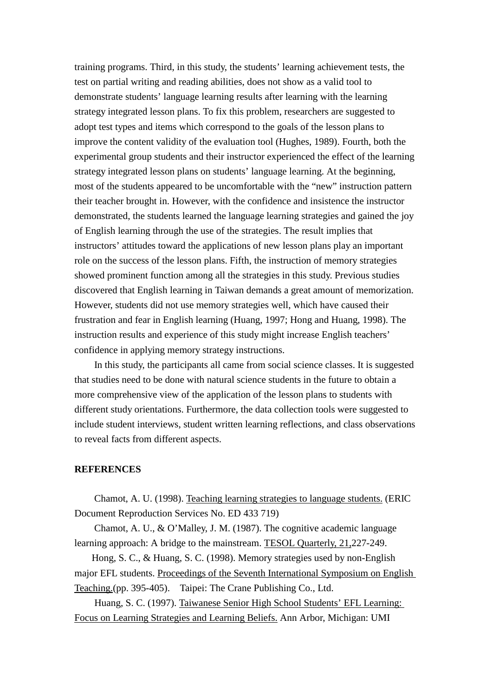training programs. Third, in this study, the students' learning achievement tests, the test on partial writing and reading abilities, does not show as a valid tool to demonstrate students' language learning results after learning with the learning strategy integrated lesson plans. To fix this problem, researchers are suggested to adopt test types and items which correspond to the goals of the lesson plans to improve the content validity of the evaluation tool (Hughes, 1989). Fourth, both the experimental group students and their instructor experienced the effect of the learning strategy integrated lesson plans on students' language learning. At the beginning, most of the students appeared to be uncomfortable with the "new" instruction pattern their teacher brought in. However, with the confidence and insistence the instructor demonstrated, the students learned the language learning strategies and gained the joy of English learning through the use of the strategies. The result implies that instructors' attitudes toward the applications of new lesson plans play an important role on the success of the lesson plans. Fifth, the instruction of memory strategies showed prominent function among all the strategies in this study. Previous studies discovered that English learning in Taiwan demands a great amount of memorization. However, students did not use memory strategies well, which have caused their frustration and fear in English learning (Huang, 1997; Hong and Huang, 1998). The instruction results and experience of this study might increase English teachers' confidence in applying memory strategy instructions.

 In this study, the participants all came from social science classes. It is suggested that studies need to be done with natural science students in the future to obtain a more comprehensive view of the application of the lesson plans to students with different study orientations. Furthermore, the data collection tools were suggested to include student interviews, student written learning reflections, and class observations to reveal facts from different aspects.

#### **REFERENCES**

Chamot, A. U. (1998). Teaching learning strategies to language students. (ERIC Document Reproduction Services No. ED 433 719)

Chamot, A. U., & O'Malley, J. M. (1987). The cognitive academic language learning approach: A bridge to the mainstream. TESOL Quarterly, 21,227-249.

 Hong, S. C., & Huang, S. C. (1998). Memory strategies used by non-English major EFL students. Proceedings of the Seventh International Symposium on English Teaching.(pp. 395-405). Taipei: The Crane Publishing Co., Ltd.

Huang, S. C. (1997). Taiwanese Senior High School Students' EFL Learning: Focus on Learning Strategies and Learning Beliefs. Ann Arbor, Michigan: UMI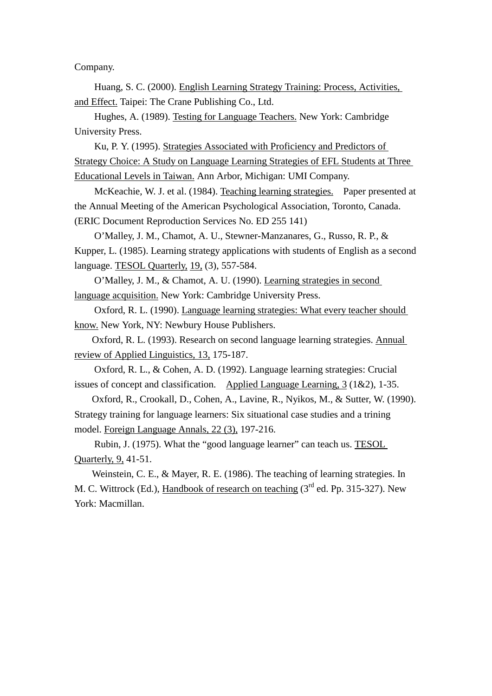Company.

 Huang, S. C. (2000). English Learning Strategy Training: Process, Activities, and Effect. Taipei: The Crane Publishing Co., Ltd.

Hughes, A. (1989). Testing for Language Teachers. New York: Cambridge University Press.

Ku, P. Y. (1995). Strategies Associated with Proficiency and Predictors of Strategy Choice: A Study on Language Learning Strategies of EFL Students at Three Educational Levels in Taiwan. Ann Arbor, Michigan: UMI Company.

McKeachie, W. J. et al. (1984). Teaching learning strategies. Paper presented at the Annual Meeting of the American Psychological Association, Toronto, Canada. (ERIC Document Reproduction Services No. ED 255 141)

 O'Malley, J. M., Chamot, A. U., Stewner-Manzanares, G., Russo, R. P., & Kupper, L. (1985). Learning strategy applications with students of English as a second language. TESOL Quarterly, 19, (3), 557-584.

O'Malley, J. M., & Chamot, A. U. (1990). Learning strategies in second language acquisition. New York: Cambridge University Press.

 Oxford, R. L. (1990). Language learning strategies: What every teacher should know. New York, NY: Newbury House Publishers.

Oxford, R. L. (1993). Research on second language learning strategies. Annual review of Applied Linguistics, 13, 175-187.

 Oxford, R. L., & Cohen, A. D. (1992). Language learning strategies: Crucial issues of concept and classification. Applied Language Learning, 3 (1&2), 1-35.

Oxford, R., Crookall, D., Cohen, A., Lavine, R., Nyikos, M., & Sutter, W. (1990). Strategy training for language learners: Six situational case studies and a trining model. Foreign Language Annals, 22 (3), 197-216.

 Rubin, J. (1975). What the "good language learner" can teach us. TESOL Quarterly, 9, 41-51.

Weinstein, C. E., & Mayer, R. E. (1986). The teaching of learning strategies. In M. C. Wittrock (Ed.), Handbook of research on teaching  $(3<sup>rd</sup>$  ed. Pp. 315-327). New York: Macmillan.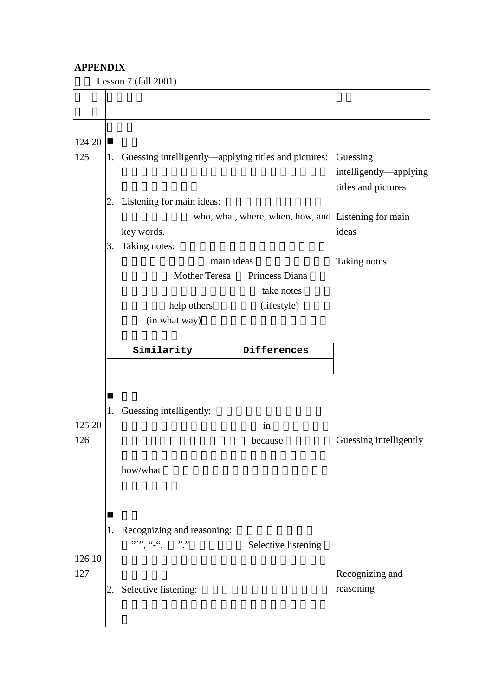## **APPENDIX**

Lesson  $7$  (fall  $2001$ )

| 124 20 <br>125 | 1. |                                                          | Guessing                                             |                        |  |  |
|----------------|----|----------------------------------------------------------|------------------------------------------------------|------------------------|--|--|
|                |    |                                                          | Guessing intelligently—applying titles and pictures: |                        |  |  |
|                |    |                                                          | intelligently-applying<br>titles and pictures        |                        |  |  |
|                |    | 2. Listening for main ideas:                             |                                                      |                        |  |  |
|                |    |                                                          | who, what, where, when, how, and Listening for main  |                        |  |  |
|                |    | key words.                                               |                                                      | ideas                  |  |  |
|                | 3. | Taking notes:                                            |                                                      |                        |  |  |
|                |    |                                                          | main ideas                                           | Taking notes           |  |  |
|                |    | Mother Teresa                                            | Princess Diana                                       |                        |  |  |
|                |    |                                                          | take notes                                           |                        |  |  |
|                |    | help others<br>(in what way)                             | (lifestyle)                                          |                        |  |  |
|                |    |                                                          |                                                      |                        |  |  |
|                |    | Similarity                                               | Differences                                          |                        |  |  |
|                |    |                                                          |                                                      |                        |  |  |
|                | ■  |                                                          |                                                      |                        |  |  |
|                | 1. | Guessing intelligently:                                  |                                                      |                        |  |  |
| 125 20         |    |                                                          | in                                                   |                        |  |  |
| 126            |    |                                                          | because                                              | Guessing intelligently |  |  |
|                |    |                                                          |                                                      |                        |  |  |
|                |    | how/what                                                 |                                                      |                        |  |  |
|                |    |                                                          |                                                      |                        |  |  |
|                |    |                                                          |                                                      |                        |  |  |
|                | ■  |                                                          |                                                      |                        |  |  |
|                | 1. | Recognizing and reasoning:<br>$95555 - 66 - 66$<br>,, ,, | Selective listening                                  |                        |  |  |
| 126 10         |    |                                                          |                                                      |                        |  |  |
| 127            |    |                                                          |                                                      | Recognizing and        |  |  |
|                |    | 2. Selective listening:                                  |                                                      | reasoning              |  |  |
|                |    |                                                          |                                                      |                        |  |  |
|                |    |                                                          |                                                      |                        |  |  |